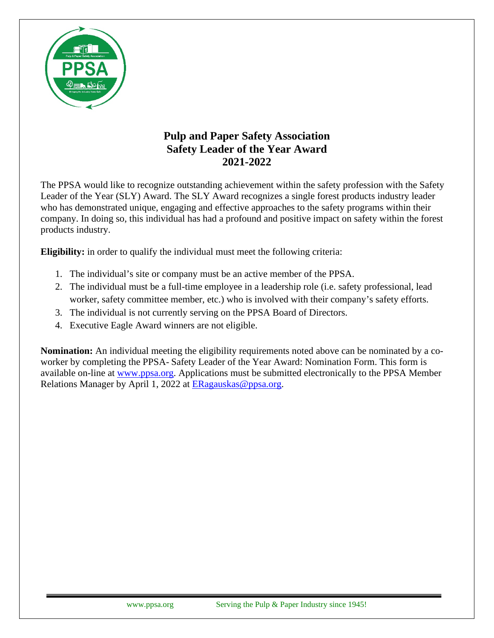

## **Pulp and Paper Safety Association Safety Leader of the Year Award 2021-2022**

The PPSA would like to recognize outstanding achievement within the safety profession with the Safety Leader of the Year (SLY) Award. The SLY Award recognizes a single forest products industry leader who has demonstrated unique, engaging and effective approaches to the safety programs within their company. In doing so, this individual has had a profound and positive impact on safety within the forest products industry.

**Eligibility:** in order to qualify the individual must meet the following criteria:

- 1. The individual's site or company must be an active member of the PPSA.
- 2. The individual must be a full-time employee in a leadership role (i.e. safety professional, lead worker, safety committee member, etc.) who is involved with their company's safety efforts.
- 3. The individual is not currently serving on the PPSA Board of Directors.
- 4. Executive Eagle Award winners are not eligible.

**Nomination:** An individual meeting the eligibility requirements noted above can be nominated by a coworker by completing the PPSA- Safety Leader of the Year Award: Nomination Form. This form is available on-line at [www.ppsa.org.](http://www.ppsa.org/) Applications must be submitted electronically to the PPSA Member Relations Manager by April 1, 2022 at [ERagauskas@ppsa.org.](mailto:ERagauskas@ppsa.org)